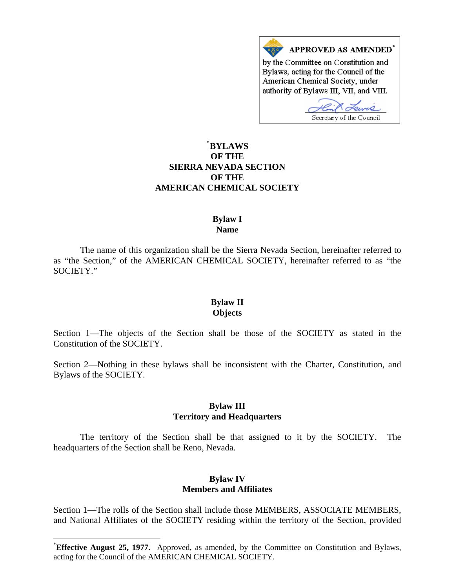

# **\* [BYLAWS](#page-0-0)  OF THE SIERRA NEVADA SECTION OF THE AMERICAN CHEMICAL SOCIETY**

#### **Bylaw I Name**

The name of this organization shall be the Sierra Nevada Section, hereinafter referred to as "the Section," of the AMERICAN CHEMICAL SOCIETY, hereinafter referred to as "the SOCIETY."

### **Bylaw II Objects**

Section 1—The objects of the Section shall be those of the SOCIETY as stated in the Constitution of the SOCIETY.

Section 2—Nothing in these bylaws shall be inconsistent with the Charter, Constitution, and Bylaws of the SOCIETY.

#### **Bylaw III Territory and Headquarters**

The territory of the Section shall be that assigned to it by the SOCIETY. The headquarters of the Section shall be Reno, Nevada.

## **Bylaw IV Members and Affiliates**

Section 1—The rolls of the Section shall include those MEMBERS, ASSOCIATE MEMBERS, and National Affiliates of the SOCIETY residing within the territory of the Section, provided

 $\overline{\phantom{a}}$ 

<span id="page-0-0"></span><sup>\*</sup> **Effective August 25, 1977.** Approved, as amended, by the Committee on Constitution and Bylaws, acting for the Council of the AMERICAN CHEMICAL SOCIETY.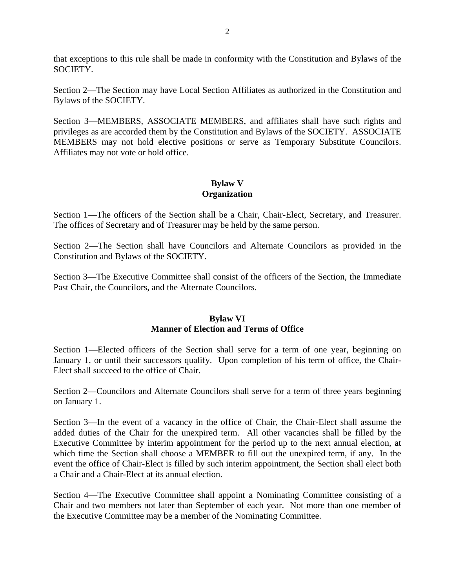that exceptions to this rule shall be made in conformity with the Constitution and Bylaws of the SOCIETY.

Section 2—The Section may have Local Section Affiliates as authorized in the Constitution and Bylaws of the SOCIETY.

Section 3—MEMBERS, ASSOCIATE MEMBERS, and affiliates shall have such rights and privileges as are accorded them by the Constitution and Bylaws of the SOCIETY. ASSOCIATE MEMBERS may not hold elective positions or serve as Temporary Substitute Councilors. Affiliates may not vote or hold office.

# **Bylaw V Organization**

Section 1—The officers of the Section shall be a Chair, Chair-Elect, Secretary, and Treasurer. The offices of Secretary and of Treasurer may be held by the same person.

Section 2—The Section shall have Councilors and Alternate Councilors as provided in the Constitution and Bylaws of the SOCIETY.

Section 3—The Executive Committee shall consist of the officers of the Section, the Immediate Past Chair, the Councilors, and the Alternate Councilors.

## **Bylaw VI Manner of Election and Terms of Office**

Section 1—Elected officers of the Section shall serve for a term of one year, beginning on January 1, or until their successors qualify. Upon completion of his term of office, the Chair-Elect shall succeed to the office of Chair.

Section 2—Councilors and Alternate Councilors shall serve for a term of three years beginning on January 1.

Section 3—In the event of a vacancy in the office of Chair, the Chair-Elect shall assume the added duties of the Chair for the unexpired term. All other vacancies shall be filled by the Executive Committee by interim appointment for the period up to the next annual election, at which time the Section shall choose a MEMBER to fill out the unexpired term, if any. In the event the office of Chair-Elect is filled by such interim appointment, the Section shall elect both a Chair and a Chair-Elect at its annual election.

Section 4—The Executive Committee shall appoint a Nominating Committee consisting of a Chair and two members not later than September of each year. Not more than one member of the Executive Committee may be a member of the Nominating Committee.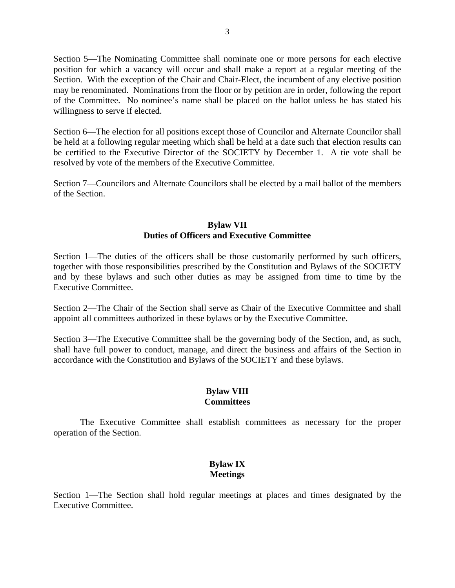Section 5—The Nominating Committee shall nominate one or more persons for each elective position for which a vacancy will occur and shall make a report at a regular meeting of the Section. With the exception of the Chair and Chair-Elect, the incumbent of any elective position may be renominated. Nominations from the floor or by petition are in order, following the report of the Committee. No nominee's name shall be placed on the ballot unless he has stated his willingness to serve if elected.

Section 6—The election for all positions except those of Councilor and Alternate Councilor shall be held at a following regular meeting which shall be held at a date such that election results can be certified to the Executive Director of the SOCIETY by December 1. A tie vote shall be resolved by vote of the members of the Executive Committee.

Section 7—Councilors and Alternate Councilors shall be elected by a mail ballot of the members of the Section.

### **Bylaw VII Duties of Officers and Executive Committee**

Section 1—The duties of the officers shall be those customarily performed by such officers, together with those responsibilities prescribed by the Constitution and Bylaws of the SOCIETY and by these bylaws and such other duties as may be assigned from time to time by the Executive Committee.

Section 2—The Chair of the Section shall serve as Chair of the Executive Committee and shall appoint all committees authorized in these bylaws or by the Executive Committee.

Section 3—The Executive Committee shall be the governing body of the Section, and, as such, shall have full power to conduct, manage, and direct the business and affairs of the Section in accordance with the Constitution and Bylaws of the SOCIETY and these bylaws.

### **Bylaw VIII Committees**

The Executive Committee shall establish committees as necessary for the proper operation of the Section.

# **Bylaw IX Meetings**

Section 1—The Section shall hold regular meetings at places and times designated by the Executive Committee.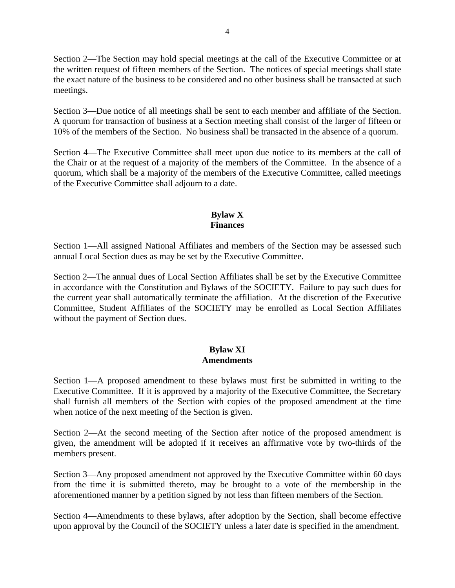Section 2—The Section may hold special meetings at the call of the Executive Committee or at the written request of fifteen members of the Section. The notices of special meetings shall state the exact nature of the business to be considered and no other business shall be transacted at such meetings.

Section 3—Due notice of all meetings shall be sent to each member and affiliate of the Section. A quorum for transaction of business at a Section meeting shall consist of the larger of fifteen or 10% of the members of the Section. No business shall be transacted in the absence of a quorum.

Section 4—The Executive Committee shall meet upon due notice to its members at the call of the Chair or at the request of a majority of the members of the Committee. In the absence of a quorum, which shall be a majority of the members of the Executive Committee, called meetings of the Executive Committee shall adjourn to a date.

# **Bylaw X Finances**

Section 1—All assigned National Affiliates and members of the Section may be assessed such annual Local Section dues as may be set by the Executive Committee.

Section 2—The annual dues of Local Section Affiliates shall be set by the Executive Committee in accordance with the Constitution and Bylaws of the SOCIETY. Failure to pay such dues for the current year shall automatically terminate the affiliation. At the discretion of the Executive Committee, Student Affiliates of the SOCIETY may be enrolled as Local Section Affiliates without the payment of Section dues.

## **Bylaw XI Amendments**

Section 1—A proposed amendment to these bylaws must first be submitted in writing to the Executive Committee. If it is approved by a majority of the Executive Committee, the Secretary shall furnish all members of the Section with copies of the proposed amendment at the time when notice of the next meeting of the Section is given.

Section 2—At the second meeting of the Section after notice of the proposed amendment is given, the amendment will be adopted if it receives an affirmative vote by two-thirds of the members present.

Section 3—Any proposed amendment not approved by the Executive Committee within 60 days from the time it is submitted thereto, may be brought to a vote of the membership in the aforementioned manner by a petition signed by not less than fifteen members of the Section.

Section 4—Amendments to these bylaws, after adoption by the Section, shall become effective upon approval by the Council of the SOCIETY unless a later date is specified in the amendment.